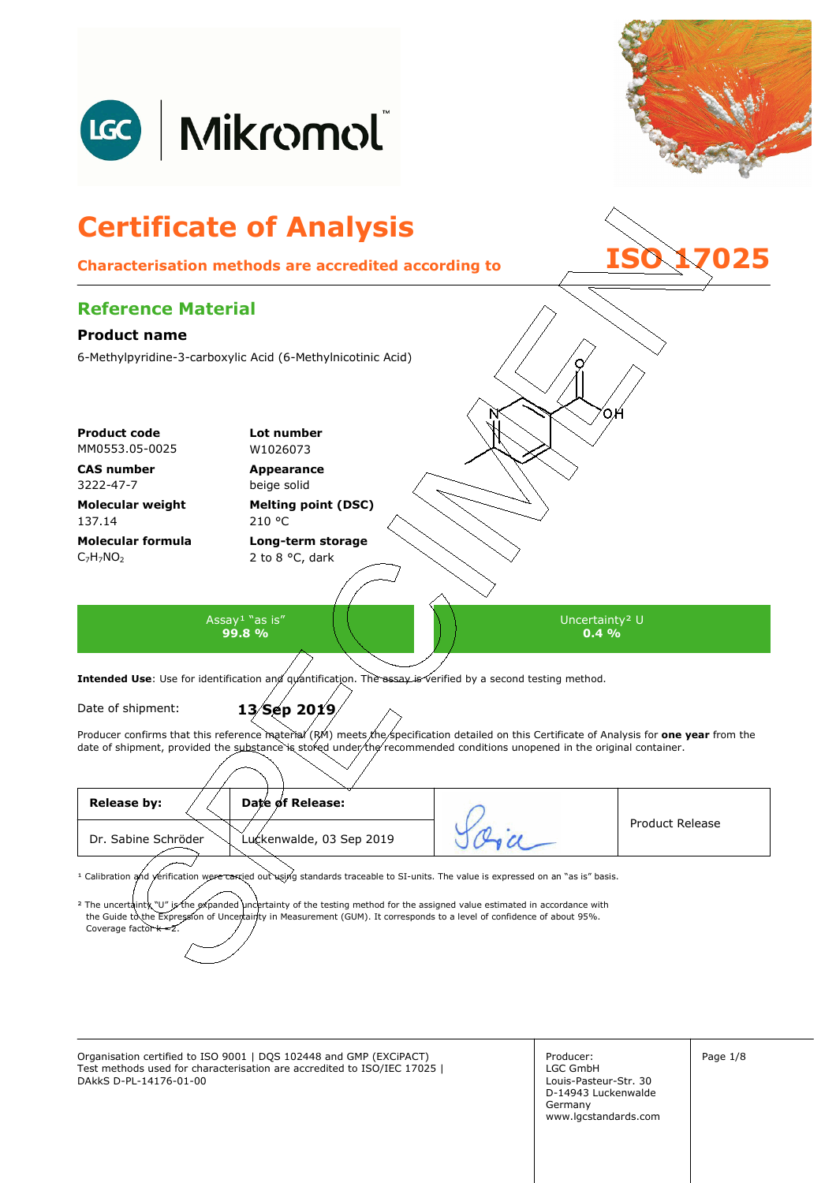

Organisation certified to ISO 9001 | DQS 102448 and GMP (EXCiPACT) Producer: Page 1/8 Test methods used for characterisation are accredited to ISO/IEC 17025 | DAkkS D-PL-14176-01-00

Producer: LGC GmbH Louis-Pasteur-Str. 30 D-14943 Luckenwalde Germany www.lgcstandards.com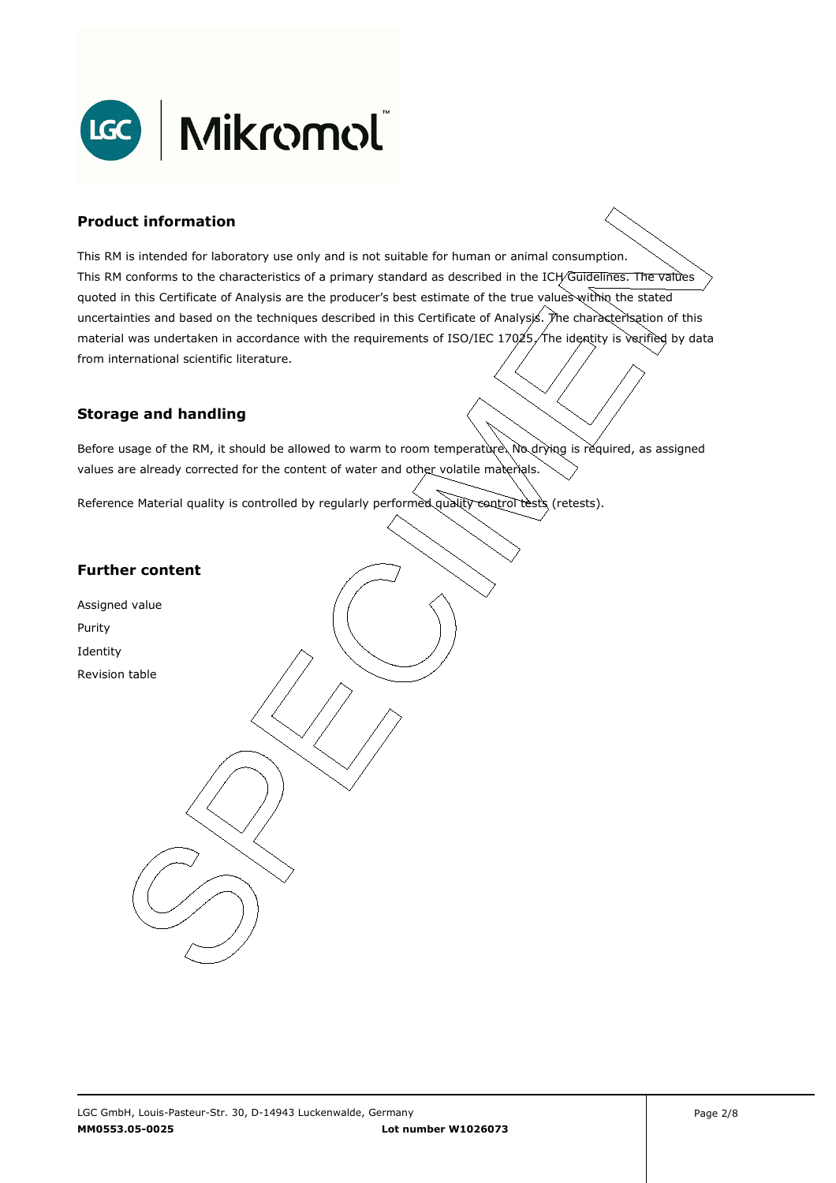

### **Product information**

This RM is intended for laboratory use only and is not suitable for human or animal consumption. This RM conforms to the characteristics of a primary standard as described in the ICH/Guidelines. The values quoted in this Certificate of Analysis are the producer's best estimate of the true values within the stated uncertainties and based on the techniques described in this Certificate of Analysis. The characterisation of this material was undertaken in accordance with the requirements of ISO/IEC 17025, The identity is verified by data . from international scientific literature.

#### **Storage and handling**

Before usage of the RM, it should be allowed to warm to room temperature. No drying is required, as assigned values are already corrected for the content of water and other volatile materials.

Reference Material quality is controlled by regularly performed quality control tests (retests).

### **Further content**

Assigned value Purity Identity Revision table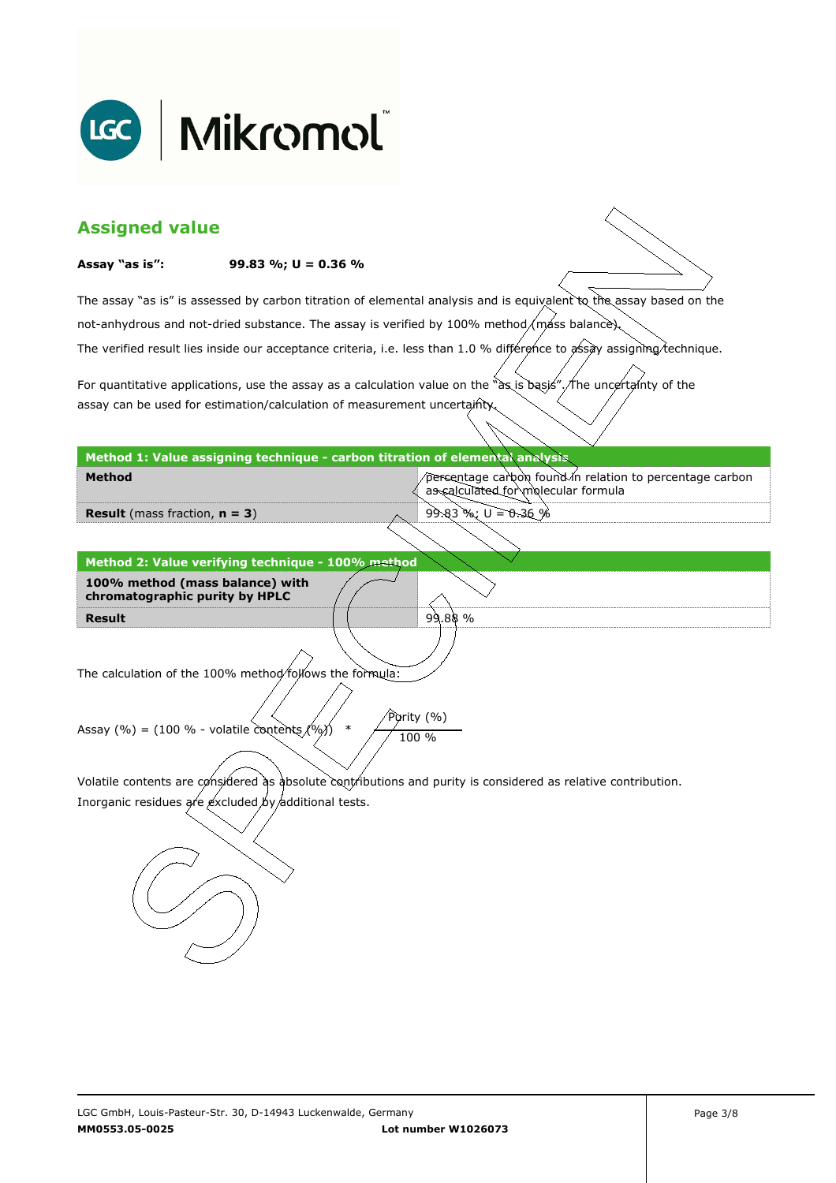

| <b>Assigned value</b>                                                                                                  |                                                                                            |                                                                                                                     |  |  |  |
|------------------------------------------------------------------------------------------------------------------------|--------------------------------------------------------------------------------------------|---------------------------------------------------------------------------------------------------------------------|--|--|--|
| Assay "as is":                                                                                                         | 99.83 %; $U = 0.36$ %                                                                      |                                                                                                                     |  |  |  |
|                                                                                                                        |                                                                                            | The assay "as is" is assessed by carbon titration of elemental analysis and is equivalent to the assay based on the |  |  |  |
|                                                                                                                        | not-anhydrous and not-dried substance. The assay is verified by 100% method/mass balance). |                                                                                                                     |  |  |  |
| The verified result lies inside our acceptance criteria, i.e. less than 1.0 % différence to assay assigning technique. |                                                                                            |                                                                                                                     |  |  |  |
|                                                                                                                        |                                                                                            | For quantitative applications, use the assay as a calculation value on the "as is basis". The uncertainty of the    |  |  |  |
|                                                                                                                        | assay can be used for estimation/calculation of measurement uncertainty.                   |                                                                                                                     |  |  |  |
|                                                                                                                        | Method 1: Value assigning technique - carbon titration of elemental analysis               |                                                                                                                     |  |  |  |
| <b>Method</b>                                                                                                          |                                                                                            | percentage carbon found in relation to percentage carbon<br>as calculated for molecular formula                     |  |  |  |
| <b>Result</b> (mass fraction, $n = 3$ )                                                                                |                                                                                            | $99.83$ %; U = 0.36 %                                                                                               |  |  |  |
|                                                                                                                        |                                                                                            |                                                                                                                     |  |  |  |
|                                                                                                                        | Method 2: Value verifying technique - 100% method                                          |                                                                                                                     |  |  |  |
| 100% method (mass balance) with<br>chromatographic purity by HPLC                                                      |                                                                                            |                                                                                                                     |  |  |  |
| <b>Result</b>                                                                                                          |                                                                                            | 99.88%                                                                                                              |  |  |  |
| The calculation of the 100% method/follows the formula:                                                                |                                                                                            |                                                                                                                     |  |  |  |
| Purity (%)<br>Assay (%) = (100 % - volatile contents $(%)$ )<br>$\ast$<br>100 %                                        |                                                                                            |                                                                                                                     |  |  |  |
| Volatile contents are considered as absolute contributions and purity is considered as relative contribution.          |                                                                                            |                                                                                                                     |  |  |  |
| Inorganic residues are excluded by additional tests.                                                                   |                                                                                            |                                                                                                                     |  |  |  |
|                                                                                                                        |                                                                                            |                                                                                                                     |  |  |  |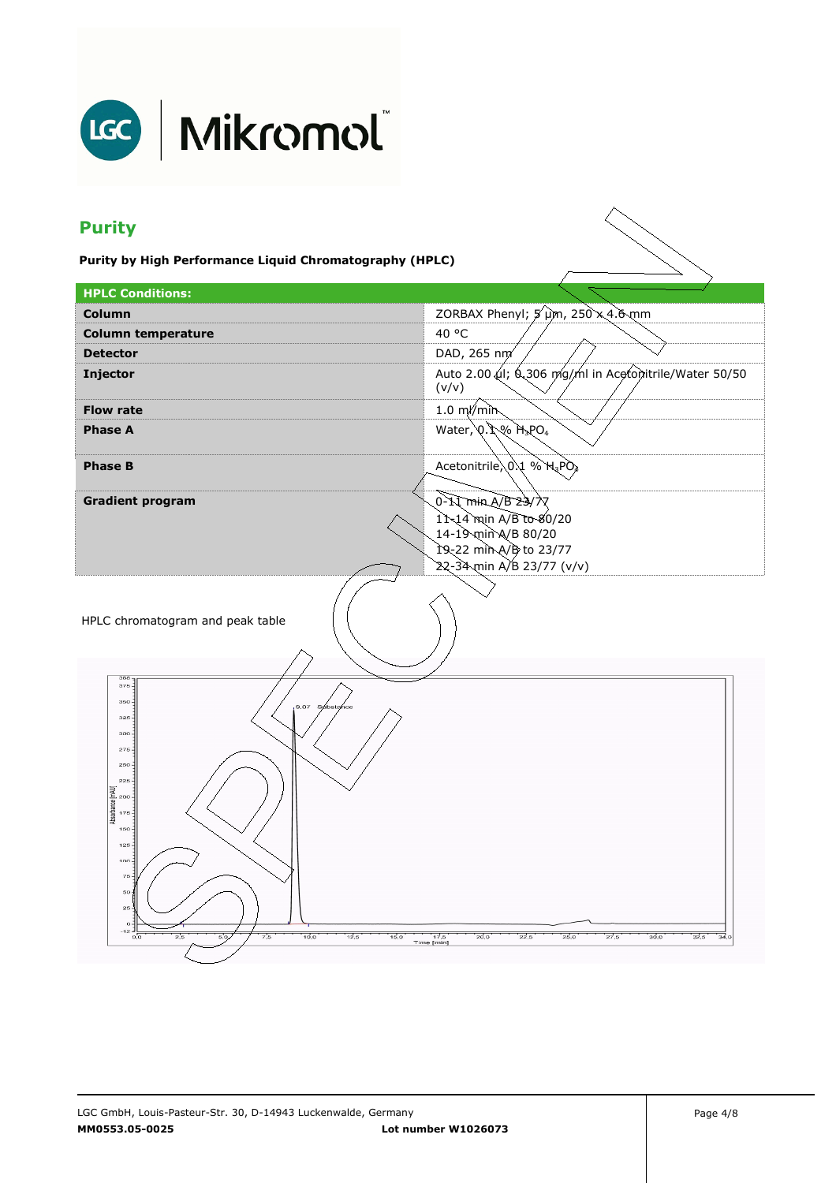

# LGC | Mikromol

## **Purity**

**Purity by High Performance Liquid Chromatography (HPLC)** 

| <b>HPLC Conditions:</b>                                                                                                                                                                                                                                                         |                                                                            |  |  |
|---------------------------------------------------------------------------------------------------------------------------------------------------------------------------------------------------------------------------------------------------------------------------------|----------------------------------------------------------------------------|--|--|
| Column                                                                                                                                                                                                                                                                          | ZORBAX Phenyl; 5 um, 250 x 4.6 mm                                          |  |  |
| <b>Column temperature</b>                                                                                                                                                                                                                                                       | 40 °C                                                                      |  |  |
| <b>Detector</b>                                                                                                                                                                                                                                                                 | DAD, 265 nm                                                                |  |  |
| Injector                                                                                                                                                                                                                                                                        | Auto 2.00 µl; 6.306 mg/ml in Acetonitrile/Water 50/50<br>(v/v)             |  |  |
| <b>Flow rate</b>                                                                                                                                                                                                                                                                | $1.0 \text{ m/m}$                                                          |  |  |
| <b>Phase A</b>                                                                                                                                                                                                                                                                  | Water, $Q.$ $Q\$ $H_3PO_4$                                                 |  |  |
| <b>Phase B</b>                                                                                                                                                                                                                                                                  | Acetonitrile 0.1 % H3PO4                                                   |  |  |
| <b>Gradient program</b>                                                                                                                                                                                                                                                         | 0-11 min A/B 23/7                                                          |  |  |
|                                                                                                                                                                                                                                                                                 | 11-14 min A/B to 80/20                                                     |  |  |
|                                                                                                                                                                                                                                                                                 | 14-19 min A/B 80/20                                                        |  |  |
|                                                                                                                                                                                                                                                                                 | 19-22 min A/B to 23/77<br>22-34 min A/B 23/77 (v/v)                        |  |  |
| HPLC chromatogram and peak table                                                                                                                                                                                                                                                |                                                                            |  |  |
| 388<br>$375 -$<br>$350 -$<br>9.07 Sylbstance<br>$325 -$<br>300<br>275<br>250<br>225<br>[mAU]<br>200<br>Absorbance<br>$175 -$<br>$150 -$<br>$125 -$<br>$100 -$<br>75<br>50 <sup>2</sup><br>$25 -$<br>$\circ$<br>-12 -<br>2,5<br>7,5<br>10,0<br>12,5<br>50<br>15,0<br>$_{\rm oc}$ | 17,5<br>Time [min]<br>20,0<br>22.5<br>25,0<br>27,5<br>30,0<br>32,5<br>34,0 |  |  |

 $\diagdown$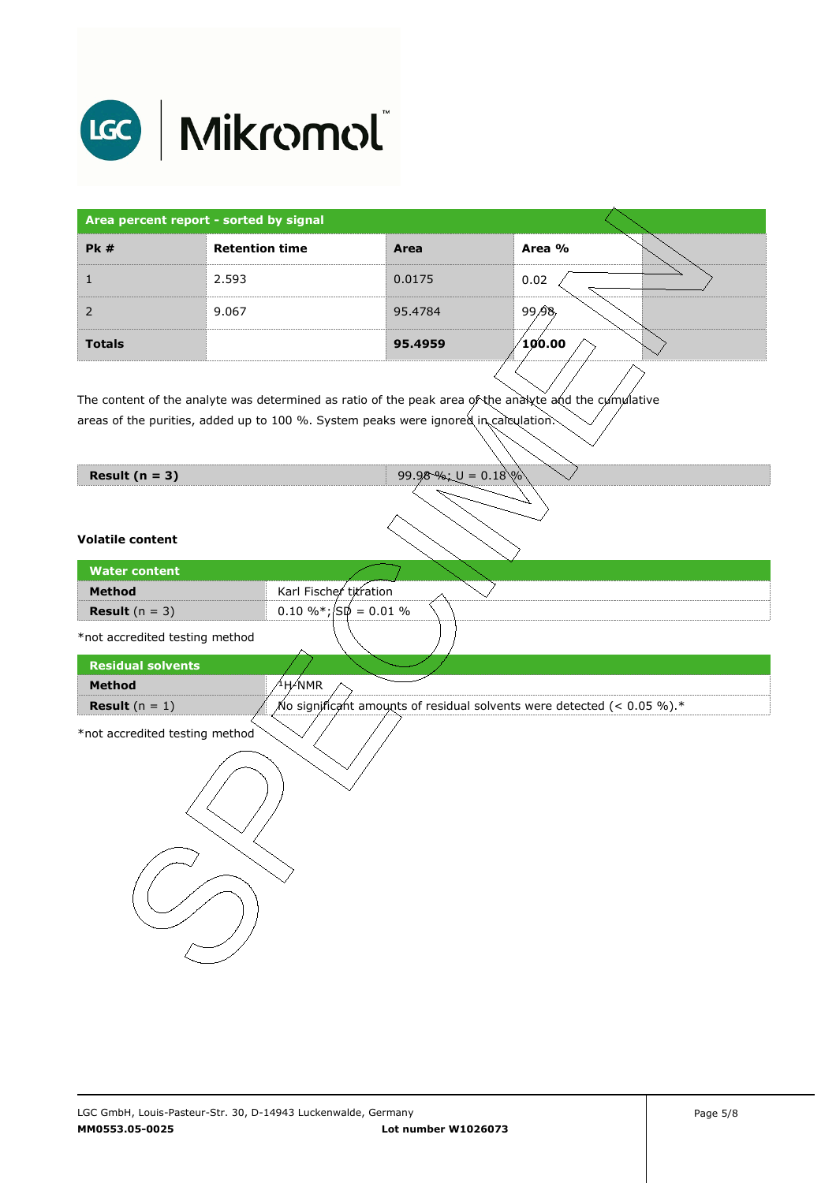

| Area percent report - sorted by signal |                       |         |                                             |
|----------------------------------------|-----------------------|---------|---------------------------------------------|
| PK#                                    | <b>Retention time</b> | Area    | Area %                                      |
|                                        | 2.593                 | 0.0175  | 0.02                                        |
|                                        | 9.067                 | 95.4784 | 99.98                                       |
| <b>Totals</b>                          |                       | 95.4959 | $^{\prime}$ 10 $^{\prime}$ 0.00 $^{\prime}$ |

The content of the analyte was determined as ratio of the peak area of the analyte and the cumulative areas of the purities, added up to 100 %. System peaks were ignored in calculation.

| Result $(n = 3)$               | 99.98%; $U = 0.18\%$                                                          |
|--------------------------------|-------------------------------------------------------------------------------|
| <b>Volatile content</b>        |                                                                               |
| <b>Water content</b>           |                                                                               |
| Method                         | Karl Fischer titration                                                        |
| <b>Result</b> $(n = 3)$        | $0.10 \%$ % ; $\sqrt{\text{S}}\phi = 0.01 \%$                                 |
| *not accredited testing method |                                                                               |
| <b>Residual solvents</b>       |                                                                               |
| Method                         | <sup>∕1</sup> H∕NMR                                                           |
| <b>Result</b> $(n = 1)$        | No significant amounts of residual solvents were detected (< 0.05 %). $^\ast$ |
| *not accredited testing method |                                                                               |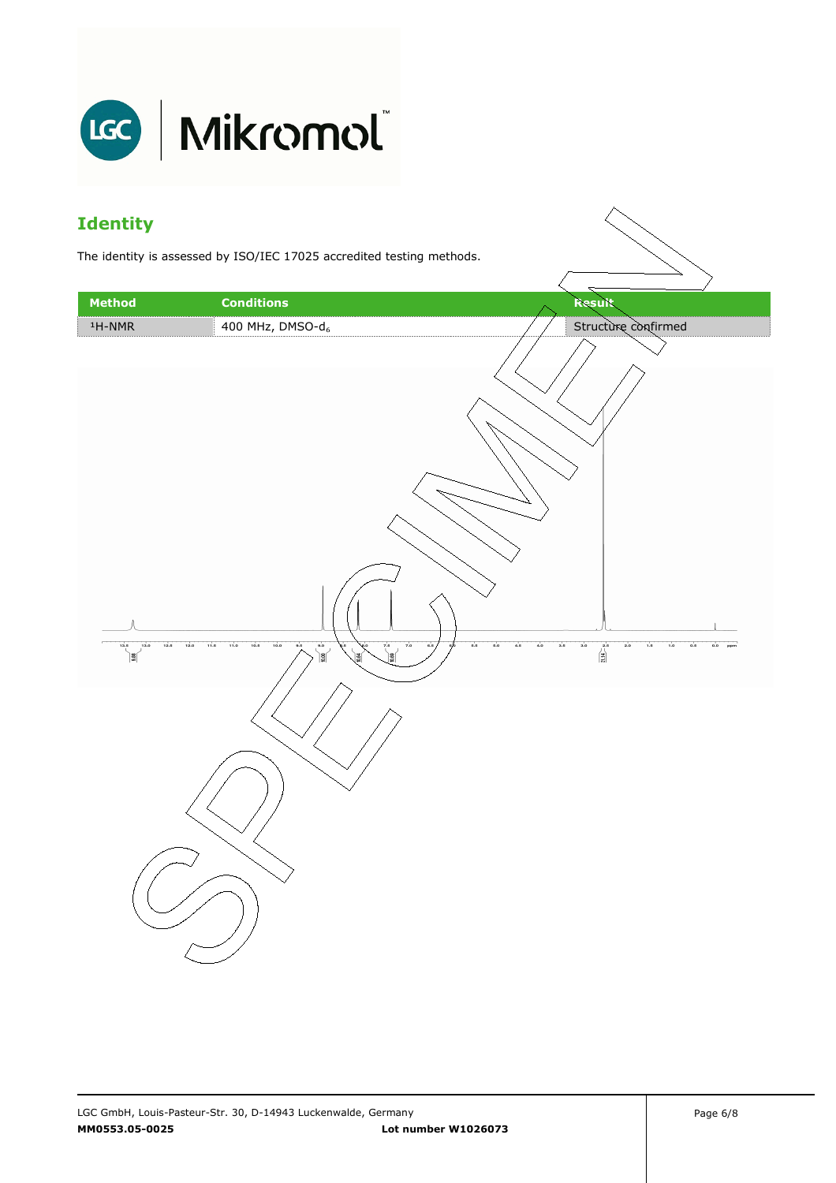

### **Identity**

The identity is assessed by ISO/IEC 17025 accredited testing methods.

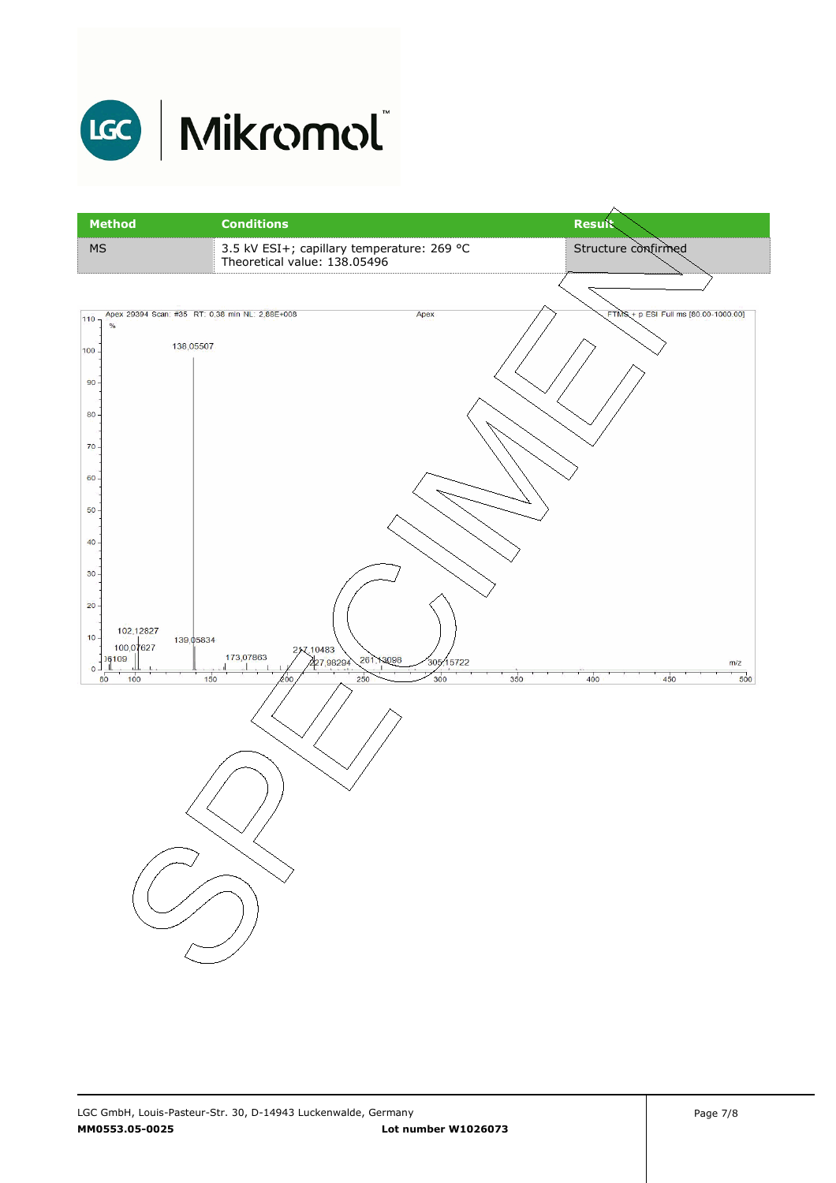

## LGC | Mikromol